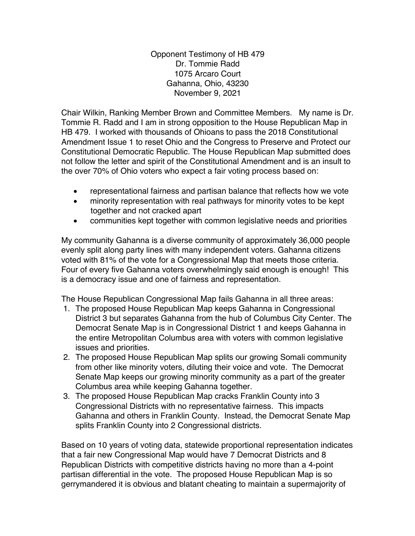Opponent Testimony of HB 479 Dr. Tommie Radd 1075 Arcaro Court Gahanna, Ohio, 43230 November 9, 2021

Chair Wilkin, Ranking Member Brown and Committee Members. My name is Dr. Tommie R. Radd and I am in strong opposition to the House Republican Map in HB 479. I worked with thousands of Ohioans to pass the 2018 Constitutional Amendment Issue 1 to reset Ohio and the Congress to Preserve and Protect our Constitutional Democratic Republic. The House Republican Map submitted does not follow the letter and spirit of the Constitutional Amendment and is an insult to the over 70% of Ohio voters who expect a fair voting process based on:

- representational fairness and partisan balance that reflects how we vote
- minority representation with real pathways for minority votes to be kept together and not cracked apart
- communities kept together with common legislative needs and priorities

My community Gahanna is a diverse community of approximately 36,000 people evenly split along party lines with many independent voters. Gahanna citizens voted with 81% of the vote for a Congressional Map that meets those criteria. Four of every five Gahanna voters overwhelmingly said enough is enough! This is a democracy issue and one of fairness and representation.

The House Republican Congressional Map fails Gahanna in all three areas:

- 1. The proposed House Republican Map keeps Gahanna in Congressional District 3 but separates Gahanna from the hub of Columbus City Center. The Democrat Senate Map is in Congressional District 1 and keeps Gahanna in the entire Metropolitan Columbus area with voters with common legislative issues and priorities.
- 2. The proposed House Republican Map splits our growing Somali community from other like minority voters, diluting their voice and vote. The Democrat Senate Map keeps our growing minority community as a part of the greater Columbus area while keeping Gahanna together.
- 3. The proposed House Republican Map cracks Franklin County into 3 Congressional Districts with no representative fairness. This impacts Gahanna and others in Franklin County. Instead, the Democrat Senate Map splits Franklin County into 2 Congressional districts.

Based on 10 years of voting data, statewide proportional representation indicates that a fair new Congressional Map would have 7 Democrat Districts and 8 Republican Districts with competitive districts having no more than a 4-point partisan differential in the vote. The proposed House Republican Map is so gerrymandered it is obvious and blatant cheating to maintain a supermajority of